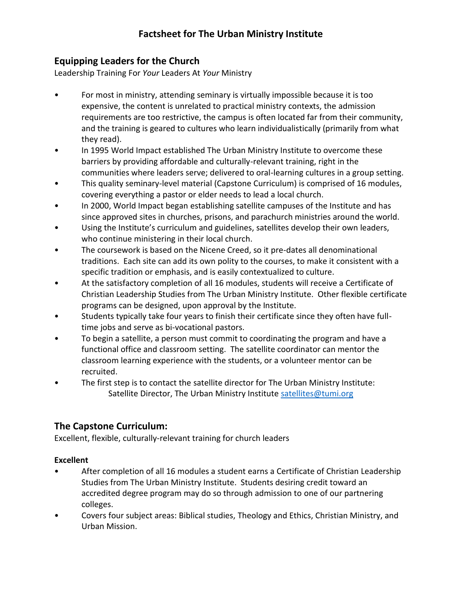# **Factsheet for The Urban Ministry Institute**

### **Equipping Leaders for the Church**

Leadership Training For *Your* Leaders At *Your* Ministry

- For most in ministry, attending seminary is virtually impossible because it is too expensive, the content is unrelated to practical ministry contexts, the admission requirements are too restrictive, the campus is often located far from their community, and the training is geared to cultures who learn individualistically (primarily from what they read).
- In 1995 World Impact established The Urban Ministry Institute to overcome these barriers by providing affordable and culturally-relevant training, right in the communities where leaders serve; delivered to oral-learning cultures in a group setting.
- This quality seminary-level material (Capstone Curriculum) is comprised of 16 modules, covering everything a pastor or elder needs to lead a local church.
- In 2000, World Impact began establishing satellite campuses of the Institute and has since approved sites in churches, prisons, and parachurch ministries around the world.
- Using the Institute's curriculum and guidelines, satellites develop their own leaders, who continue ministering in their local church.
- The coursework is based on the Nicene Creed, so it pre-dates all denominational traditions. Each site can add its own polity to the courses, to make it consistent with a specific tradition or emphasis, and is easily contextualized to culture.
- At the satisfactory completion of all 16 modules, students will receive a Certificate of Christian Leadership Studies from The Urban Ministry Institute. Other flexible certificate programs can be designed, upon approval by the Institute.
- Students typically take four years to finish their certificate since they often have fulltime jobs and serve as bi-vocational pastors.
- To begin a satellite, a person must commit to coordinating the program and have a functional office and classroom setting. The satellite coordinator can mentor the classroom learning experience with the students, or a volunteer mentor can be recruited.
- The first step is to contact the satellite director for The Urban Ministry Institute: Satellite Director, The Urban Ministry Institute [satellites@tumi.org](mailto:satellites@tumi.org)

## **The Capstone Curriculum:**

Excellent, flexible, culturally-relevant training for church leaders

#### **Excellent**

- After completion of all 16 modules a student earns a Certificate of Christian Leadership Studies from The Urban Ministry Institute. Students desiring credit toward an accredited degree program may do so through admission to one of our partnering colleges.
- Covers four subject areas: Biblical studies, Theology and Ethics, Christian Ministry, and Urban Mission.